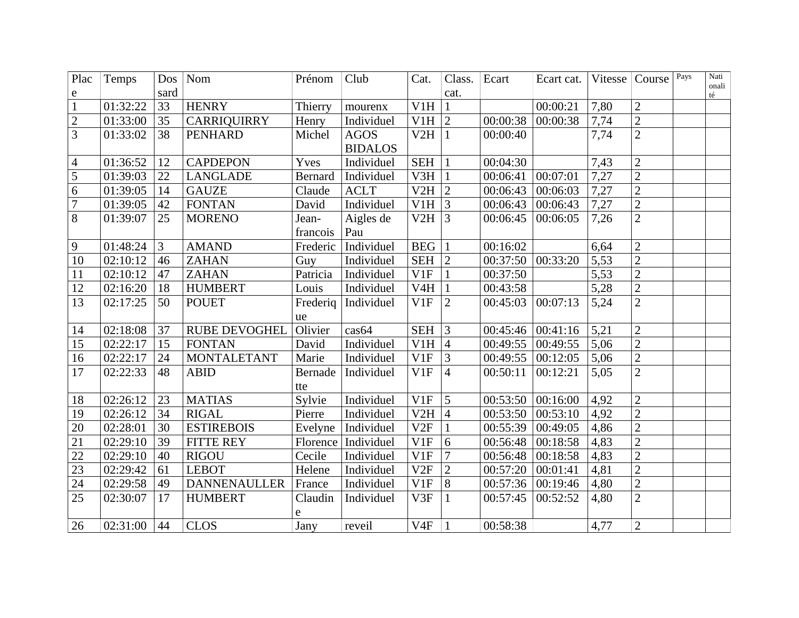| Plac           | Temps    |      | $Dos$   Nom          | Prénom         | Club                  | Cat.            | Class.         | Ecart    | Ecart cat. | Vitesse | Course         | Pays | Nati<br>onali |
|----------------|----------|------|----------------------|----------------|-----------------------|-----------------|----------------|----------|------------|---------|----------------|------|---------------|
| e              |          | sard |                      |                |                       |                 | cat.           |          |            |         |                |      | $t \notin$    |
| $\mathbf{1}$   | 01:32:22 | 33   | <b>HENRY</b>         | Thierry        | mourenx               | V1H             | $\mathbf{1}$   |          | 00:00:21   | 7,80    | $\mathbf{2}$   |      |               |
| $\sqrt{2}$     | 01:33:00 | 35   | <b>CARRIQUIRRY</b>   | Henry          | Individuel            | V1H             | $\overline{2}$ | 00:00:38 | 00:00:38   | 7,74    | $\overline{2}$ |      |               |
| $\overline{3}$ | 01:33:02 | 38   | <b>PENHARD</b>       | Michel         | <b>AGOS</b>           | V2H             | $\mathbf{1}$   | 00:00:40 |            | 7,74    | $\overline{2}$ |      |               |
|                |          |      |                      |                | <b>BIDALOS</b>        |                 |                |          |            |         |                |      |               |
| $\overline{4}$ | 01:36:52 | 12   | <b>CAPDEPON</b>      | Yves           | Individuel            | <b>SEH</b>      | $\mathbf{1}$   | 00:04:30 |            | 7,43    | $\overline{2}$ |      |               |
| 5              | 01:39:03 | 22   | <b>LANGLADE</b>      | <b>Bernard</b> | Individuel            | V3H             | $\mathbf{1}$   | 00:06:41 | 00:07:01   | 7,27    | $\overline{2}$ |      |               |
| 6              | 01:39:05 | 14   | <b>GAUZE</b>         | Claude         | <b>ACLT</b>           | $V2H$ 2         |                | 00:06:43 | 00:06:03   | 7,27    | $\overline{2}$ |      |               |
| $\overline{7}$ | 01:39:05 | 42   | <b>FONTAN</b>        | David          | Individuel            | V1H             | $\overline{3}$ | 00:06:43 | 00:06:43   | 7,27    | $\overline{2}$ |      |               |
| $8\,$          | 01:39:07 | 25   | <b>MORENO</b>        | Jean-          | Aigles de             | V2H             | $\overline{3}$ | 00:06:45 | 00:06:05   | 7,26    | $\overline{2}$ |      |               |
|                |          |      |                      | francois       | Pau                   |                 |                |          |            |         |                |      |               |
| 9              | 01:48:24 | 3    | <b>AMAND</b>         | Frederic       | Individuel            | <b>BEG</b>      | $\mathbf{1}$   | 00:16:02 |            | 6,64    | $\mathbf{2}$   |      |               |
| 10             | 02:10:12 | 46   | <b>ZAHAN</b>         | Guy            | Individuel            | <b>SEH</b>      | $\overline{2}$ | 00:37:50 | 00:33:20   | 5,53    | $\overline{2}$ |      |               |
| 11             | 02:10:12 | 47   | <b>ZAHAN</b>         | Patricia       | Individuel            | V1F             | $\mathbf{1}$   | 00:37:50 |            | 5,53    | $\overline{2}$ |      |               |
| 12             | 02:16:20 | 18   | <b>HUMBERT</b>       | Louis          | Individuel            | V4H             | $\mathbf{1}$   | 00:43:58 |            | 5,28    | $\overline{2}$ |      |               |
| 13             | 02:17:25 | 50   | <b>POUET</b>         |                | Frederig   Individuel | V1F             | $\overline{2}$ | 00:45:03 | 00:07:13   | 5,24    | $\overline{2}$ |      |               |
|                |          |      |                      | ue             |                       |                 |                |          |            |         |                |      |               |
| 14             | 02:18:08 | 37   | <b>RUBE DEVOGHEL</b> | Olivier        | cas64                 | <b>SEH</b>      | $\mathfrak{Z}$ | 00:45:46 | 00:41:16   | 5,21    | $\overline{2}$ |      |               |
| 15             | 02:22:17 | 15   | <b>FONTAN</b>        | David          | Individuel            | V1H             | $\overline{4}$ | 00:49:55 | 00:49:55   | 5,06    | $\overline{2}$ |      |               |
| 16             | 02:22:17 | 24   | <b>MONTALETANT</b>   | Marie          | Individuel            | V1F             | 3              | 00:49:55 | 00:12:05   | 5,06    | $\overline{2}$ |      |               |
| 17             | 02:22:33 | 48   | <b>ABID</b>          | Bernade        | Individuel            | V1F             | $\overline{4}$ | 00:50:11 | 00:12:21   | 5,05    | $\overline{2}$ |      |               |
|                |          |      |                      | tte            |                       |                 |                |          |            |         |                |      |               |
| 18             | 02:26:12 | 23   | <b>MATIAS</b>        | Sylvie         | Individuel            | V1F             | 5              | 00:53:50 | 00:16:00   | 4,92    | $\overline{2}$ |      |               |
| 19             | 02:26:12 | 34   | <b>RIGAL</b>         | Pierre         | Individuel            | V2H             | $\overline{4}$ | 00:53:50 | 00:53:10   | 4,92    | $\overline{2}$ |      |               |
| 20             | 02:28:01 | 30   | <b>ESTIREBOIS</b>    | Evelyne        | Individuel            | V2F             | $\mathbf{1}$   | 00:55:39 | 00:49:05   | 4,86    | $\overline{2}$ |      |               |
| 21             | 02:29:10 | 39   | <b>FITTE REY</b>     |                | Florence   Individuel | V1F             | 6              | 00:56:48 | 00:18:58   | 4,83    | $\overline{2}$ |      |               |
| 22             | 02:29:10 | 40   | <b>RIGOU</b>         | Cecile         | Individuel            | V1F             | 7              | 00:56:48 | 00:18:58   | 4,83    | $\overline{2}$ |      |               |
| 23             | 02:29:42 | 61   | <b>LEBOT</b>         | Helene         | Individuel            | V2F             | $\overline{2}$ | 00:57:20 | 00:01:41   | 4,81    | $\overline{2}$ |      |               |
| 24             | 02:29:58 | 49   | <b>DANNENAULLER</b>  | France         | Individuel            | V1F             | 8              | 00:57:36 | 00:19:46   | 4,80    | $\overline{2}$ |      |               |
| 25             | 02:30:07 | 17   | <b>HUMBERT</b>       | Claudin        | Individuel            | V3F             | $\mathbf{1}$   | 00:57:45 | 00:52:52   | 4,80    | $\overline{2}$ |      |               |
|                |          |      |                      | e              |                       |                 |                |          |            |         |                |      |               |
| 26             | 02:31:00 | 44   | <b>CLOS</b>          | Jany           | reveil                | V <sub>4F</sub> | $\mathbf{1}$   | 00:58:38 |            | 4,77    | $\overline{2}$ |      |               |